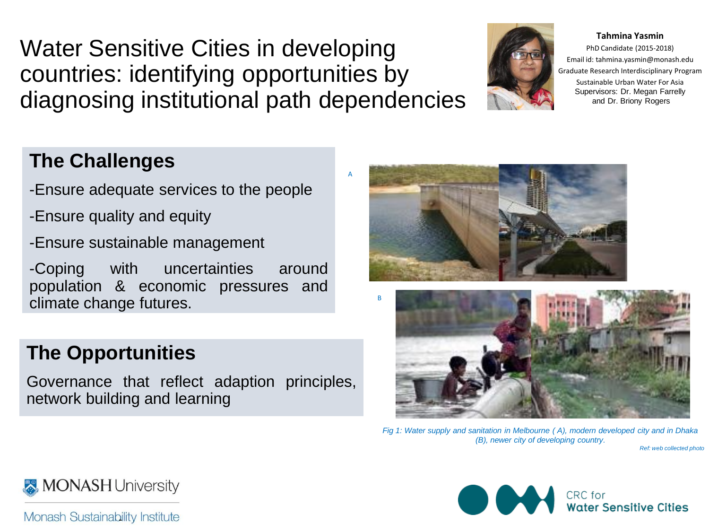Water Sensitive Cities in developing countries: identifying opportunities by diagnosing institutional path dependencies

## **The Challenges**

- -Ensure adequate services to the people
- -Ensure quality and equity
- -Ensure sustainable management

-Coping with uncertainties around population & economic pressures and climate change futures.

## **The Opportunities**

network building and learning Governance that reflect adaption principles,

*Fig 1: Water supply and sanitation in Melbourne ( A), modern developed city and in Dhaka (B), newer city of developing country.*

*Ref: web collected photo*



**Tahmina Yasmin**



B

A





Monash Sustainability Institute